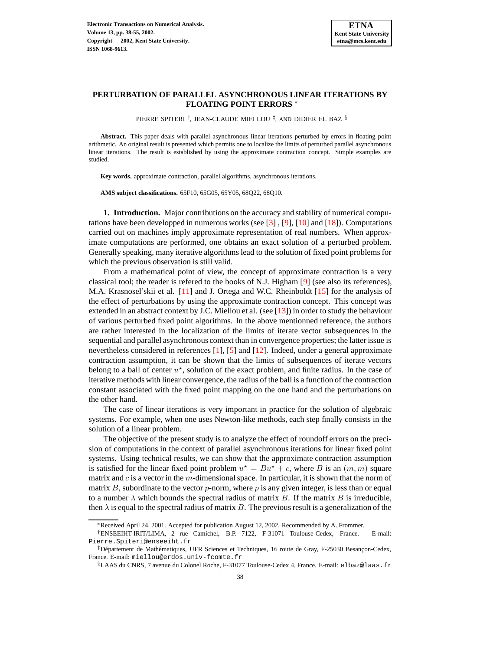

# **PERTURBATION OF PARALLEL ASYNCHRONOUS LINEAR ITERATIONS BY FLOATING POINT ERRORS** <sup>∗</sup>

PIERRE SPITERI † , JEAN-CLAUDE MIELLOU ‡ , AND DIDIER EL BAZ §

**Abstract.** This paper deals with parallel asynchronous linear iterations perturbed by errors in floating point arithmetic. An original result is presented which permits one to localize the limits of perturbed parallel asynchronous linear iterations. The result is established by using the approximate contraction concept. Simple examples are studied.

**Key words.** approximate contraction, parallel algorithms, asynchronous iterations.

**AMS subject classifications.** 65F10, 65G05, 65Y05, 68Q22, 68Q10.

**1. Introduction.** Major contributions on the accuracy and stability of numerical computations have been developped in numerous works (see [\[3\]](#page-16-0) , [\[9\]](#page-16-1), [\[10\]](#page-16-2) and [\[18\]](#page-16-3)). Computations carried out on machines imply approximate representation of real numbers. When approximate computations are performed, one obtains an exact solution of a perturbed problem. Generally speaking, many iterative algorithms lead to the solution of fixed point problems for which the previous observation is still valid.

From a mathematical point of view, the concept of approximate contraction is a very classical tool; the reader is refered to the books of N.J. Higham [\[9\]](#page-16-1) (see also its references), M.A. Krasnosel'skii et al. [\[11\]](#page-16-4) and J. Ortega and W.C. Rheinboldt [\[15\]](#page-16-5) for the analysis of the effect of perturbations by using the approximate contraction concept. This concept was extended in an abstract context by J.C. Miellou et al. (see [\[13\]](#page-16-6)) in order to study the behaviour of various perturbed fixed point algorithms. In the above mentionned reference, the authors are rather interested in the localization of the limits of iterate vector subsequences in the sequential and parallel asynchronous context than in convergence properties; the latter issue is nevertheless considered in references [\[1\]](#page-16-7), [\[5\]](#page-16-8) and [\[12\]](#page-16-9). Indeed, under a general approximate contraction assumption, it can be shown that the limits of subsequences of iterate vectors belong to a ball of center  $u^*$ , solution of the exact problem, and finite radius. In the case of iterative methods with linear convergence, the radius of the ball is a function of the contraction constant associated with the fixed point mapping on the one hand and the perturbations on the other hand.

The case of linear iterations is very important in practice for the solution of algebraic systems. For example, when one uses Newton-like methods, each step finally consists in the solution of a linear problem.

The objective of the present study is to analyze the effect of roundoff errors on the precision of computations in the context of parallel asynchronous iterations for linear fixed point systems. Using technical results, we can show that the approximate contraction assumption is satisfied for the linear fixed point problem  $u^* = Bu^* + c$ , where B is an  $(m, m)$  square matrix and  $c$  is a vector in the  $m$ -dimensional space. In particular, it is shown that the norm of matrix B, subordinate to the vector  $p$ -norm, where p is any given integer, is less than or equal to a number  $\lambda$  which bounds the spectral radius of matrix B. If the matrix B is irreducible, then  $\lambda$  is equal to the spectral radius of matrix B. The previous result is a generalization of the

<sup>∗</sup>Received April 24, 2001. Accepted for publication August 12, 2002. Recommended by A. Frommer.

<sup>†</sup>ENSEEIHT-IRIT/LIMA, 2 rue Camichel, B.P. 7122, F-31071 Toulouse-Cedex, France. E-mail: Pierre.Spiteri@enseeiht.fr

<sup>&</sup>lt;sup>‡</sup>Département de Mathématiques, UFR Sciences et Techniques, 16 route de Gray, F-25030 Besançon-Cedex, France. E-mail: miellou@erdos.univ-fcomte.fr

<sup>§</sup>LAAS du CNRS, 7 avenue du Colonel Roche, F-31077 Toulouse-Cedex 4, France. E-mail: elbaz@laas.fr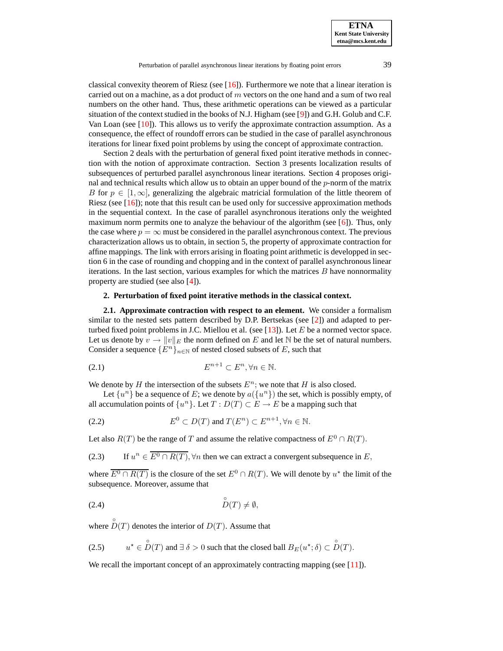**ETNA Kent State University etna@mcs.kent.edu**

classical convexity theorem of Riesz (see [\[16\]](#page-16-10)). Furthermore we note that a linear iteration is carried out on a machine, as a dot product of  $m$  vectors on the one hand and a sum of two real numbers on the other hand. Thus, these arithmetic operations can be viewed as a particular situation of the context studied in the books of N.J. Higham (see [\[9\]](#page-16-1)) and G.H. Golub and C.F. Van Loan (see  $[10]$ ). This allows us to verify the approximate contraction assumption. As a consequence, the effect of roundoff errors can be studied in the case of parallel asynchronous iterations for linear fixed point problems by using the concept of approximate contraction.

Section 2 deals with the perturbation of general fixed point iterative methods in connection with the notion of approximate contraction. Section 3 presents localization results of subsequences of perturbed parallel asynchronous linear iterations. Section 4 proposes original and technical results which allow us to obtain an upper bound of the  $p$ -norm of the matrix B for  $p \in [1,\infty]$ , generalizing the algebraic matricial formulation of the little theorem of Riesz (see  $[16]$ ); note that this result can be used only for successive approximation methods in the sequential context. In the case of parallel asynchronous iterations only the weighted maximum norm permits one to analyze the behaviour of the algorithm (see  $[6]$ ). Thus, only the case where  $p = \infty$  must be considered in the parallel asynchronous context. The previous characterization allows us to obtain, in section 5, the property of approximate contraction for affine mappings. The link with errors arising in floating point arithmetic is developped in section 6 in the case of rounding and chopping and in the context of parallel asynchronous linear iterations. In the last section, various examples for which the matrices  $B$  have nonnormality property are studied (see also [\[4\]](#page-16-12)).

# <span id="page-1-0"></span>**2. Perturbation of fixed point iterative methods in the classical context.**

**2.1. Approximate contraction with respect to an element.** We consider a formalism similar to the nested sets pattern described by D.P. Bertsekas (see [\[2\]](#page-16-13)) and adapted to perturbed fixed point problems in J.C. Miellou et al. (see  $[13]$ ). Let E be a normed vector space. Let us denote by  $v \to ||v||_E$  the norm defined on E and let N be the set of natural numbers. Consider a sequence  $\{E^n\}_{n\in\mathbb{N}}$  of nested closed subsets of E, such that

$$
(2.1) \t\t\t E^{n+1} \subset E^n, \forall n \in \mathbb{N}.
$$

We denote by H the intersection of the subsets  $E<sup>n</sup>$ ; we note that H is also closed.

Let  $\{u^n\}$  be a sequence of E; we denote by  $a(\{u^n\})$  the set, which is possibly empty, of all accumulation points of  $\{u^n\}$ . Let  $T: D(T) \subset E \to E$  be a mapping such that

<span id="page-1-2"></span>(2.2) 
$$
E^0 \subset D(T) \text{ and } T(E^n) \subset E^{n+1}, \forall n \in \mathbb{N}.
$$

Let also  $R(T)$  be the range of T and assume the relative compactness of  $E^0 \cap R(T)$ .

(2.3) If  $u^n \in \overline{E^0 \cap R(T)}$ ,  $\forall n$  then we can extract a convergent subsequence in E,

where  $\overline{E^0 \cap R(T)}$  is the closure of the set  $E^0 \cap R(T)$ . We will denote by  $u^*$  the limit of the subsequence. Moreover, assume that

$$
(2.4) \quad \overset{\circ}{D}(T) \neq \emptyset,
$$

<span id="page-1-1"></span>where  $\hat{D}(T)$  denotes the interior of  $D(T)$ . Assume that

(2.5) 
$$
u^* \in \overset{\circ}{D}(T)
$$
 and  $\exists \delta > 0$  such that the closed ball  $B_E(u^*; \delta) \subset \overset{\circ}{D}(T)$ .

We recall the important concept of an approximately contracting mapping (see  $[11]$ ).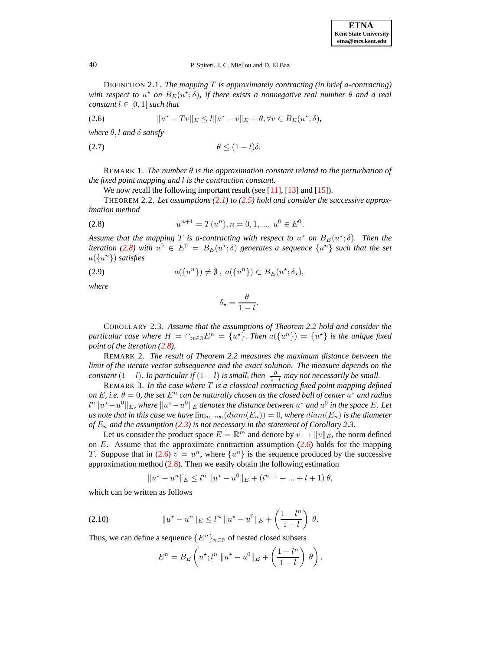<span id="page-2-1"></span>DEFINITION 2.1. *The mapping* T *is approximately contracting (in brief a-contracting)*  $\mathbf{a}$  *with respect to*  $u^*$  *on*  $B_E(u^*; \delta)$ *, if there exists a nonnegative real number*  $\theta$  *and a real constant*  $l \in [0, 1]$  *such that* 

(2.6) 
$$
||u^* - Tv||_E \leq l||u^* - v||_E + \theta, \forall v \in B_E(u^*; \delta),
$$

*where* θ, l *and* δ *satisfy*

$$
\theta \le (1 - l)\delta.
$$

REMARK 1. The number  $\theta$  is the approximation constant related to the perturbation of *the fixed point mapping and* l *is the contraction constant.*

We now recall the following important result (see [\[11\]](#page-16-4), [\[13\]](#page-16-6) and [\[15\]](#page-16-5)).

<span id="page-2-0"></span>THEOREM 2.2. *Let assumptions [\(2.1\)](#page-1-0) to [\(2.5\)](#page-1-1) hold and consider the successive approximation method*

.

$$
(2.8) \t un+1 = T(un), n = 0, 1, ..., u0 \in E0
$$

*Assume that the mapping*  $T$  *is a-contracting with respect to*  $u^*$  *on*  $B_E(u^*; \delta)$ *. Then the iteration* [\(2.8\)](#page-2-0) with  $u^0 \in E^0 = B_E(u^*; \delta)$  generates a sequence  $\{u^n\}$  such that the set a({u <sup>n</sup>}) *satisfies*

(2.9)  $a({u^n}) \neq \emptyset, a({u^n}) \subset B_E(u^{\star}; \delta_{\star}),$ 

*where*

$$
\delta_{\star} = \frac{\theta}{1 - l}.
$$

COROLLARY 2.3. *Assume that the assumptions of Theorem 2.2 hold and consider the particular case where*  $H = \bigcap_{n \in \mathbb{N}} E^n = \{u^*\}$ . *Then*  $a(\{u^n\}) = \{u^*\}$  *is the unique fixed point of the iteration [\(2.8\)](#page-2-0).*

REMARK 2. *The result of Theorem 2.2 measures the maximum distance between the limit of the iterate vector subsequence and the exact solution. The measure depends on the constant*  $(1 - l)$ *. In particular if*  $(1 - l)$  *is small, then*  $\frac{\theta}{1 - l}$  *may not necessarily be small.* 

REMARK 3. *In the case where* T *is a classical contracting fixed point mapping defined*  $\rho$  *on*  $E$ , *i.e.*  $\theta = 0$ , *the set*  $E^n$  *can be naturally chosen as the closed ball of center*  $u^*$  *and radius*  $l^n\|u^\star - u^0\|_E$ , where  $\|u^\star - u^0\|_E$  denotes the distance between  $u^\star$  and  $u^0$  in the space E. Let *us* note that in this case we have  $\lim_{n\to\infty}(\text{diam}(E_n))=0$ , where  $\text{diam}(E_n)$  is the diameter *of* E<sup>n</sup> *and the assumption [\(2.3\)](#page-1-2) is not necessary in the statement of Corollary 2.3.*

Let us consider the product space  $E = \mathbb{R}^m$  and denote by  $v \to ||v||_E$ , the norm defined on  $E$ . Assume that the approximate contraction assumption  $(2.6)$  holds for the mapping T. Suppose that in [\(2.6\)](#page-2-1)  $v = u^n$ , where  $\{u^n\}$  is the sequence produced by the successive approximation method  $(2.8)$ . Then we easily obtain the following estimation

$$
||u^* - u^n||_E \le l^n ||u^* - u^0||_E + (l^{n-1} + \dots + l + 1) \theta,
$$

which can be written as follows

(2.10) 
$$
\|u^* - u^n\|_E \le l^n \|u^* - u^0\|_E + \left(\frac{1 - l^n}{1 - l}\right) \theta.
$$

Thus, we can define a sequence  $\{E^n\}_{n\in\mathbb{N}}$  of nested closed subsets

$$
E^{n} = B_{E} \left( u^{\star}; l^{n} \| u^{\star} - u^{0} \|_{E} + \left( \frac{1 - l^{n}}{1 - l} \right) \theta \right).
$$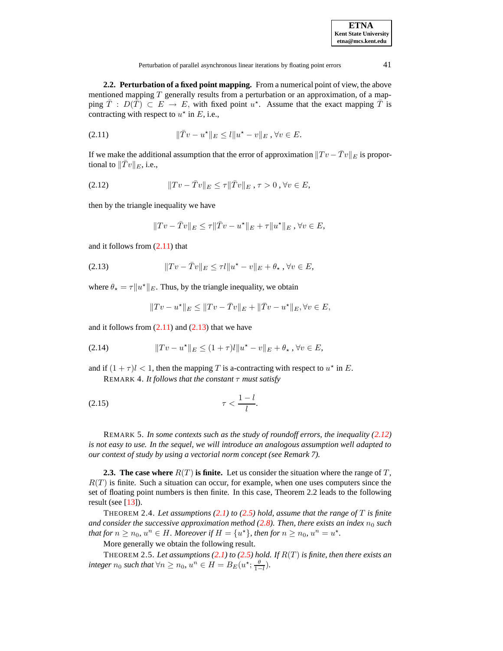| <b>ETNA</b>                  |  |  |  |  |
|------------------------------|--|--|--|--|
| <b>Kent State University</b> |  |  |  |  |
| etna@mcs.kent.edu            |  |  |  |  |

<span id="page-3-0"></span>Perturbation of parallel asynchronous linear iterations by floating point errors 41

**2.2. Perturbation of a fixed point mapping.** From a numerical point of view, the above mentioned mapping  $T$  generally results from a perturbation or an approximation, of a mapping  $\overline{T}$ :  $D(\overline{T}) \subset E \to E$ , with fixed point u<sup>\*</sup>. Assume that the exact mapping  $\overline{T}$  is contracting with respect to  $u^*$  in E, i.e.,

(2.11) 
$$
\|\bar{T}v - u^*\|_E \le l \|u^* - v\|_E, \forall v \in E.
$$

<span id="page-3-2"></span>If we make the additional assumption that the error of approximation  $||Tv - \bar{T}v||_E$  is proportional to  $||Tv||_E$ , i.e.,

(2.12) 
$$
||Tv - \bar{T}v||_E \leq \tau ||\bar{T}v||_E, \tau > 0, \forall v \in E,
$$

then by the triangle inequality we have

<span id="page-3-1"></span>
$$
||Tv - \bar{T}v||_E \le \tau ||\bar{T}v - u^*||_E + \tau ||u^*||_E, \forall v \in E,
$$

and it follows from [\(2.11\)](#page-3-0) that

(2.13) 
$$
||Tv - \bar{T}v||_E \leq \tau l||u^* - v||_E + \theta_* , \forall v \in E,
$$

where  $\theta_{\star} = \tau ||u^{\star}||_E$ . Thus, by the triangle inequality, we obtain

<span id="page-3-3"></span>
$$
||Tv - u^*||_E \le ||Tv - \bar{T}v||_E + ||\bar{T}v - u^*||_E, \forall v \in E,
$$

and it follows from  $(2.11)$  and  $(2.13)$  that we have

(2.14) 
$$
||Tv - u^*||_E \le (1+\tau)l||u^* - v||_E + \theta_* , \forall v \in E,
$$

and if  $(1 + \tau)l < 1$ , then the mapping T is a-contracting with respect to  $u^*$  in E. REMARK 4. *It follows that the constant* τ *must satisfy*

$$
\tau < \frac{1-l}{l}.
$$

REMARK 5. *In some contexts such as the study of roundoff errors, the inequality [\(2.12\)](#page-3-2) is not easy to use. In the sequel, we will introduce an analogous assumption well adapted to our context of study by using a vectorial norm concept (see Remark 7).*

**2.3. The case where** R(T) **is finite.** Let us consider the situation where the range of T,  $R(T)$  is finite. Such a situation can occur, for example, when one uses computers since the set of floating point numbers is then finite. In this case, Theorem 2.2 leads to the following result (see  $[13]$ ).

THEOREM 2.4. *Let assumptions [\(2.1\)](#page-1-0) to [\(2.5\)](#page-1-1) hold, assume that the range of* T *is finite and consider the successive approximation* method [\(2.8\)](#page-2-0). Then, there exists an index  $n_0$  *such that for*  $n \ge n_0$ ,  $u^n \in H$ *. Moreover if*  $H = \{u^*\}$ *, then for*  $n \ge n_0$ ,  $u^n = u^*$ *.* 

More generally we obtain the following result.

THEOREM 2.5. Let assumptions  $(2.1)$  to  $(2.5)$  hold. If  $R(T)$  is finite, then there exists an integer  $n_0$  such that  $\forall n \geq n_0$ ,  $u^n \in H = B_E(u^*; \frac{\theta}{1-l}).$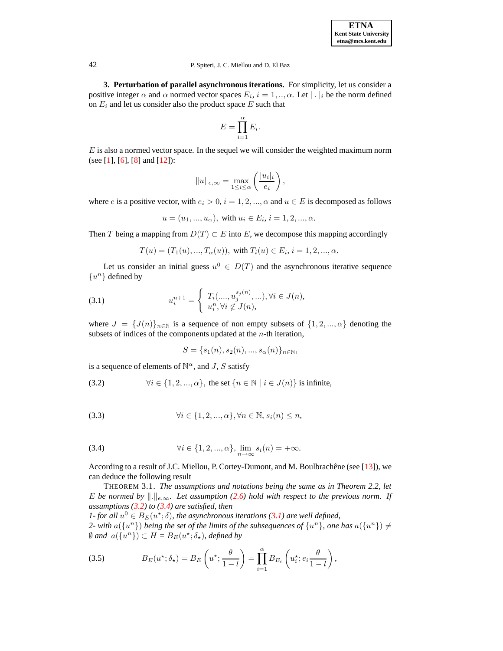**3. Perturbation of parallel asynchronous iterations.** For simplicity, let us consider a positive integer  $\alpha$  and  $\alpha$  normed vector spaces  $E_i$ ,  $i = 1, ..., \alpha$ . Let  $|\cdot|_i$  be the norm defined on  $E_i$  and let us consider also the product space  $E$  such that

$$
E = \prod_{i=1}^{\alpha} E_i.
$$

 $E$  is also a normed vector space. In the sequel we will consider the weighted maximum norm (see [\[1\]](#page-16-7), [\[6\]](#page-16-11), [\[8\]](#page-16-14) and [\[12\]](#page-16-9)):

$$
||u||_{e,\infty} = \max_{1 \leq i \leq \alpha} \left( \frac{|u_i|_i}{e_i} \right),
$$

where e is a positive vector, with  $e_i > 0$ ,  $i = 1, 2, ..., \alpha$  and  $u \in E$  is decomposed as follows

$$
u = (u_1, ..., u_\alpha)
$$
, with  $u_i \in E_i$ ,  $i = 1, 2, ..., \alpha$ .

Then T being a mapping from  $D(T) \subset E$  into E, we decompose this mapping accordingly

$$
T(u) = (T_1(u), ..., T_{\alpha}(u)), \text{ with } T_i(u) \in E_i, i = 1, 2, ..., \alpha.
$$

<span id="page-4-2"></span>Let us consider an initial guess  $u^0 \in D(T)$  and the asynchronous iterative sequence  $\{u^n\}$  defined by

(3.1) 
$$
u_i^{n+1} = \begin{cases} T_i(\dots, u_j^{s_j(n)}, \dots), \forall i \in J(n), \\ u_i^n, \forall i \notin J(n), \end{cases}
$$

where  $J = \{J(n)\}_{n \in \mathbb{N}}$  is a sequence of non empty subsets of  $\{1, 2, ..., \alpha\}$  denoting the subsets of indices of the components updated at the  $n$ -th iteration,

<span id="page-4-0"></span>
$$
S = \{s_1(n), s_2(n), ..., s_{\alpha}(n)\}_{n \in \mathbb{N}},
$$

is a sequence of elements of  $\mathbb{N}^{\alpha}$ , and J, S satisfy

(3.2) 
$$
\forall i \in \{1, 2, ..., \alpha\}, \text{ the set } \{n \in \mathbb{N} \mid i \in J(n)\} \text{ is infinite,}
$$

<span id="page-4-1"></span>(3.3) 
$$
\forall i \in \{1, 2, ..., \alpha\}, \forall n \in \mathbb{N}, s_i(n) \leq n,
$$

(3.4) 
$$
\forall i \in \{1, 2, ..., \alpha\}, \lim_{n \to \infty} s_i(n) = +\infty.
$$

According to a result of J.C. Miellou, P. Cortey-Dumont, and M. Boulbrachêne (see [\[13\]](#page-16-6)), we can deduce the following result

THEOREM 3.1. *The assumptions and notations being the same as in Theorem 2.2, let* E be normed by  $\|\cdot\|_{e,\infty}$ . Let assumption [\(2.6\)](#page-2-1) hold with respect to the previous norm. If *assumptions [\(3.2\)](#page-4-0) to [\(3.4\)](#page-4-1) are satisfied, then*

*1*- *for* all  $u^0 \in B_E(u^*; \delta)$ , the asynchronous iterations [\(3.1\)](#page-4-2) are well defined, 2- with  $a({u^n})$  *being the set of the limits of the subsequences of*  ${u^n}$ *, one has*  $a({u^n}) \neq$  $\emptyset$  and  $a({u<sup>n</sup>}) \subset H = B_E(u^*; \delta_*)$ , defined by

(3.5) 
$$
B_E(u^{\star}; \delta_{\star}) = B_E\left(u^{\star}; \frac{\theta}{1-l}\right) = \prod_{i=1}^{\alpha} B_{E_i}\left(u_i^{\star}; e_i \frac{\theta}{1-l}\right),
$$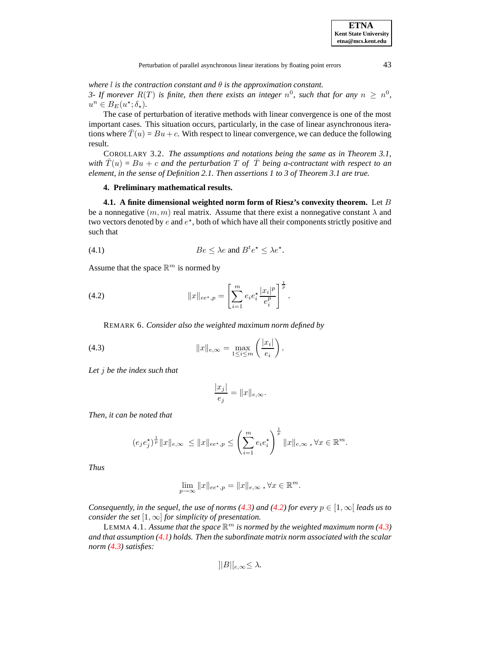*where l is the contraction constant and*  $\theta$  *is the approximation constant.* 

*3-* If morever  $R(T)$  is finite, then there exists an integer  $n^0$ , such that for any  $n \geq n^0$ ,  $u^n \in B_E(u^{\star}; \delta_{\star}).$ 

The case of perturbation of iterative methods with linear convergence is one of the most important cases. This situation occurs, particularly, in the case of linear asynchronous iterations where  $T(u) = Bu + c$ . With respect to linear convergence, we can deduce the following result.

COROLLARY 3.2. *The assumptions and notations being the same as in Theorem 3.1, with*  $\bar{T}(u) = Bu + c$  *and the perturbation*  $T$  *of*  $\bar{T}$  *being a-contractant with respect to an element, in the sense of Definition 2.1. Then assertions 1 to 3 of Theorem 3.1 are true.*

### **4. Preliminary mathematical results.**

<span id="page-5-2"></span>**4.1. A finite dimensional weighted norm form of Riesz's convexity theorem.** Let B be a nonnegative  $(m, m)$  real matrix. Assume that there exist a nonnegative constant  $\lambda$  and two vectors denoted by  $e$  and  $e^*$ , both of which have all their components strictly positive and such that

<span id="page-5-1"></span>(4.1) 
$$
Be \leq \lambda e \text{ and } B^t e^{\star} \leq \lambda e^{\star}.
$$

Assume that the space  $\mathbb{R}^m$  is normed by

(4.2) 
$$
||x||_{ee^{\star},p} = \left[\sum_{i=1}^{m} e_i e_i^{\star} \frac{|x_i|^p}{e_i^p}\right]^{\frac{1}{p}}.
$$

REMARK 6. *Consider also the weighted maximum norm defined by*

(4.3) 
$$
||x||_{e,\infty} = \max_{1 \leq i \leq m} \left( \frac{|x_i|}{e_i} \right).
$$

*Let* j *be the index such that*

<span id="page-5-0"></span>
$$
\frac{|x_j|}{e_j} = ||x||_{e,\infty}.
$$

*Then, it can be noted that*

$$
(e_j e_j^*)^{\frac{1}{p}} \|x\|_{e,\infty} \le \|x\|_{ee^*,p} \le \left(\sum_{i=1}^m e_i e_i^*\right)^{\frac{1}{p}} \|x\|_{e,\infty}, \forall x \in \mathbb{R}^m.
$$

*Thus*

$$
\lim_{p \to \infty} ||x||_{ee^{\star},p} = ||x||_{e,\infty}, \forall x \in \mathbb{R}^m.
$$

*Consequently, in the sequel, the use of norms [\(4.3\)](#page-5-0) and [\(4.2\)](#page-5-1) for every*  $p \in [1, \infty)$  *leads us to consider the set*  $[1, \infty]$  *for simplicity of presentation.* 

LEMMA 4.1. Assume that the space  $\mathbb{R}^m$  is normed by the weighted maximum norm [\(4.3\)](#page-5-0) *and that assumption [\(4.1\)](#page-5-2) holds. Then the subordinate matrix norm associated with the scalar norm [\(4.3\)](#page-5-0) satisfies:*

$$
||B||_{e,\infty} \leq \lambda.
$$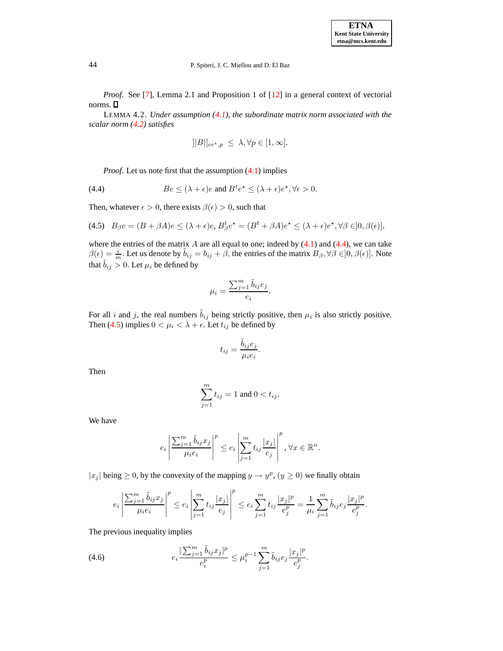*Proof.* See [\[7\]](#page-16-15), Lemma 2.1 and Proposition 1 of [\[12\]](#page-16-9) in a general context of vectorial norms.

LEMMA 4.2. *Under assumption [\(4.1\)](#page-5-2), the subordinate matrix norm associated with the scalar norm [\(4.2\)](#page-5-1) satisfies*

<span id="page-6-1"></span><span id="page-6-0"></span>
$$
||B||_{ee^{\star},p} \leq \lambda, \forall p \in [1,\infty].
$$

*Proof.* Let us note first that the assumption  $(4.1)$  implies

(4.4) 
$$
Be \le (\lambda + \epsilon)e \text{ and } B^t e^* \le (\lambda + \epsilon)e^*, \forall \epsilon > 0.
$$

Then, whatever  $\epsilon > 0$ , there exists  $\beta(\epsilon) > 0$ , such that

(4.5) 
$$
B_{\beta}e = (B + \beta A)e \le (\lambda + \epsilon)e
$$
,  $B_{\beta}^t e^* = (B^t + \beta A)e^* \le (\lambda + \epsilon)e^*, \forall \beta \in ]0, \beta(\epsilon)],$ 

where the entries of the matrix  $A$  are all equal to one; indeed by  $(4.1)$  and  $(4.4)$ , we can take  $\beta(\epsilon) = \frac{\epsilon}{m}$ . Let us denote by  $\tilde{b}_{ij} = b_{ij} + \beta$ , the entries of the matrix  $B_{\beta}, \forall \beta \in ]0, \beta(\epsilon)]$ . Note that  $\tilde{b}_{ij} > 0$ . Let  $\mu_i$  be defined by

$$
\mu_i = \frac{\sum_{j=1}^m \tilde{b}_{ij} e_j}{e_i}.
$$

For all i and j, the real numbers  $\tilde{b}_{ij}$  being strictly positive, then  $\mu_i$  is also strictly positive. Then [\(4.5\)](#page-6-1) implies  $0 < \mu_i < \lambda + \epsilon$ . Let  $t_{ij}$  be defined by

$$
t_{ij} = \frac{\tilde{b}_{ij} e_j}{\mu_i e_i}.
$$

Then

$$
\sum_{j=1}^m t_{ij} = 1
$$
 and  $0 < t_{ij}$ .

We have

$$
e_i \left| \frac{\sum_{j=1}^m \tilde{b}_{ij} x_j}{\mu_i e_i} \right|^p \leq e_i \left| \sum_{j=1}^m t_{ij} \frac{|x_j|}{e_j} \right|^p, \forall x \in \mathbb{R}^n.
$$

 $|x_j|$  being  $\geq 0$ , by the convexity of the mapping  $y \to y^p$ ,  $(y \geq 0)$  we finally obtain

<span id="page-6-2"></span>
$$
e_i \left| \frac{\sum_{j=1}^m \tilde{b}_{ij} x_j}{\mu_i e_i} \right|^p \leq e_i \left| \sum_{j=1}^m t_{ij} \frac{|x_j|}{e_j} \right|^p \leq e_i \sum_{j=1}^m t_{ij} \frac{|x_j|^p}{e_j^p} = \frac{1}{\mu_i} \sum_{j=1}^m \tilde{b}_{ij} e_j \frac{|x_j|^p}{e_j^p}.
$$

The previous inequality implies

(4.6) 
$$
e_i \frac{\sum_{j=1}^m \tilde{b}_{ij} x_j|^p}{e_i^p} \le \mu_i^{p-1} \sum_{j=1}^m \tilde{b}_{ij} e_j \frac{|x_j|^p}{e_j^p}.
$$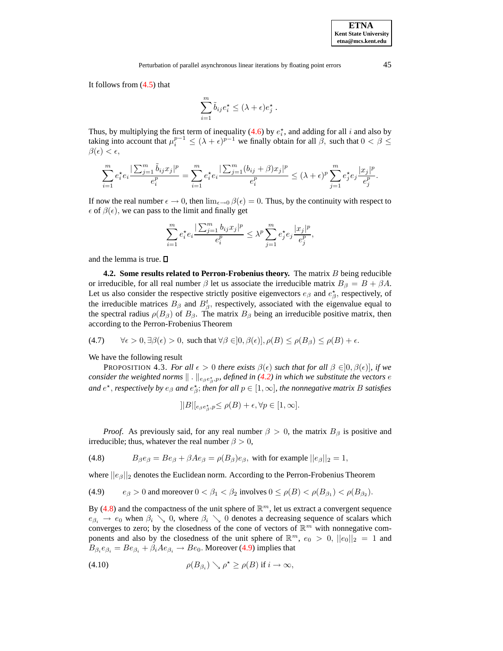It follows from [\(4.5\)](#page-6-1) that

$$
\sum_{i=1}^{m} \tilde{b}_{ij} e_i^{\star} \leq (\lambda + \epsilon) e_j^{\star} .
$$

Thus, by multiplying the first term of inequality [\(4.6\)](#page-6-2) by  $e_i^*$ , and adding for all i and also by Thus, by inditiplying the first term of mequality (4.0) by  $e_i$ , and adding for all *t* and also by taking into account that  $\mu_i^{p-1} \le (\lambda + \epsilon)^{p-1}$  we finally obtain for all  $\beta$ , such that  $0 < \beta \le$  $\beta(\epsilon) < \epsilon$ ,

$$
\sum_{i=1}^m e_i^{\star} e_i \frac{|\sum_{j=1}^m \tilde{b}_{ij} x_j|^p}{e_i^p} = \sum_{i=1}^m e_i^{\star} e_i \frac{|\sum_{j=1}^m (b_{ij} + \beta) x_j|^p}{e_i^p} \leq (\lambda + \epsilon)^p \sum_{j=1}^m e_j^{\star} e_j \frac{|x_j|^p}{e_j^p}.
$$

If now the real number  $\epsilon \to 0$ , then  $\lim_{\epsilon \to 0} \beta(\epsilon) = 0$ . Thus, by the continuity with respect to  $\epsilon$  of  $\beta(\epsilon)$ , we can pass to the limit and finally get

$$
\sum_{i=1}^m e_i^\star e_i \frac{|\sum_{j=1}^m b_{ij}x_j|^p}{e_i^p} \leq \lambda^p \sum_{j=1}^m e_j^\star e_j \frac{|x_j|^p}{e_j^p},
$$

and the lemma is true.  $\square$ 

**4.2. Some results related to Perron-Frobenius theory.** The matrix B being reducible or irreducible, for all real number  $\beta$  let us associate the irreducible matrix  $B_{\beta} = B + \beta A$ . Let us also consider the respective strictly positive eigenvectors  $e_{\beta}$  and  $e_{\beta}^{\star}$ , respectively, of the irreducible matrices  $B_{\beta}$  and  $B_{\beta}^{t}$ , respectively, associated with the eigenvalue equal to the spectral radius  $\rho(B_\beta)$  of  $B_\beta$ . The matrix  $B_\beta$  being an irreducible positive matrix, then according to the Perron-Frobenius Theorem

(4.7) 
$$
\forall \epsilon > 0, \exists \beta(\epsilon) > 0, \text{ such that } \forall \beta \in ]0, \beta(\epsilon)], \rho(B) \le \rho(B_{\beta}) \le \rho(B) + \epsilon.
$$

We have the following result

**PROPOSITION 4.3.** *For all*  $\epsilon > 0$  *there exists*  $\beta(\epsilon)$  *such that for all*  $\beta \in ]0, \beta(\epsilon)]$ *, if we* consider the weighted norms  $\| \, . \, \|_{e_{\beta}e_{\beta}^{\star},p}$ , defined in [\(4.2\)](#page-5-1) in which we substitute the vectors  $e$ and  $e^{\star}$ , *respectively* by  $e_{\beta}$  and  $e_{\beta}^{\star}$ ; *then for* all  $p \in [1, \infty]$ , *the nonnegative matrix* B *satisfies* 

<span id="page-7-2"></span><span id="page-7-1"></span><span id="page-7-0"></span>
$$
||B||_{e_{\beta}e_{\beta}^{\star},p} \leq \rho(B) + \epsilon, \forall p \in [1,\infty].
$$

*Proof.* As previously said, for any real number  $\beta > 0$ , the matrix  $B_\beta$  is positive and irreducible; thus, whatever the real number  $\beta > 0$ ,

(4.8)  $B_{\beta}e_{\beta} = Be_{\beta} + \beta Ae_{\beta} = \rho(B_{\beta})e_{\beta}$ , with for example  $||e_{\beta}||_2 = 1$ ,

where  $||e_{\beta}||_2$  denotes the Euclidean norm. According to the Perron-Frobenius Theorem

(4.9) 
$$
e_{\beta} > 0
$$
 and moreover  $0 < \beta_1 < \beta_2$  involves  $0 \le \rho(B) < \rho(B_{\beta_1}) < \rho(B_{\beta_2})$ .

By [\(4.8\)](#page-7-0) and the compactness of the unit sphere of  $\mathbb{R}^m$ , let us extract a convergent sequence  $e_{\beta_i} \rightarrow e_0$  when  $\beta_i \searrow 0$ , where  $\beta_i \searrow 0$  denotes a decreasing sequence of scalars which converges to zero; by the closedness of the cone of vectors of  $\mathbb{R}^m$  with nonnegative components and also by the closedness of the unit sphere of  $\mathbb{R}^m$ ,  $e_0 > 0$ ,  $||e_0||_2 = 1$  and  $B_{\beta_i}e_{\beta_i} = Be_{\beta_i} + \beta_i Ae_{\beta_i} \rightarrow Be_0$ . Moreover [\(4.9\)](#page-7-1) implies that

(4.10) 
$$
\rho(B_{\beta_i}) \searrow \rho^{\star} \ge \rho(B) \text{ if } i \to \infty,
$$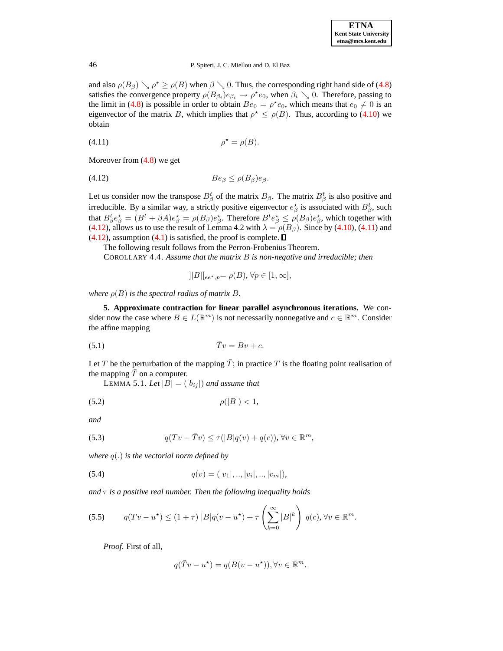<span id="page-8-1"></span>and also  $\rho(B_\beta) \searrow \rho^* \ge \rho(B)$  when  $\beta \searrow 0$ . Thus, the corresponding right hand side of [\(4.8\)](#page-7-0) satisfies the convergence property  $\rho(B_{\beta_i})e_{\beta_i} \to \rho^*e_0$ , when  $\beta_i \searrow 0$ . Therefore, passing to the limit in [\(4.8\)](#page-7-0) is possible in order to obtain  $Be_0 = \rho^* e_0$ , which means that  $e_0 \neq 0$  is an eigenvector of the matrix B, which implies that  $\rho^* \le \rho(B)$ . Thus, according to [\(4.10\)](#page-7-2) we obtain

<span id="page-8-0"></span>
$$
\rho^* = \rho(B).
$$

Moreover from [\(4.8\)](#page-7-0) we get

$$
(4.12) \tBe_{\beta} \leq \rho(B_{\beta})e_{\beta}.
$$

Let us consider now the transpose  $B^t_\beta$  of the matrix  $B_\beta$ . The matrix  $B^t_\beta$  is also positive and irreducible. By a similar way, a strictly positive eigenvector  $e^*_{\beta}$  is associated with  $B^t_{\beta}$ , such that  $B_{\beta}^t e_{\beta}^* = (B^t + \beta A)e_{\beta}^* = \rho(B_{\beta})e_{\beta}^*$ . Therefore  $B^t e_{\beta}^* \leq \rho(B_{\beta})e_{\beta}^*$ , which together with [\(4.12\)](#page-8-0), allows us to use the result of Lemma 4.2 with  $\lambda = \rho(B_\beta)$ . Since by [\(4.10\)](#page-7-2), [\(4.11\)](#page-8-1) and  $(4.12)$ , assumption  $(4.1)$  is satisfied, the proof is complete.  $\square$ 

The following result follows from the Perron-Frobenius Theorem.

COROLLARY 4.4. *Assume that the matrix* B *is non-negative and irreducible; then*

<span id="page-8-3"></span>
$$
]|B|[_{ee^\star,p}=\rho(B),\,\forall p\in[1,\infty],
$$

*where*  $\rho(B)$  *is the spectral radius of matrix B.* 

<span id="page-8-6"></span>**5. Approximate contraction for linear parallel asynchronous iterations.** We consider now the case where  $B \in L(\mathbb{R}^m)$  is not necessarily nonnegative and  $c \in \mathbb{R}^m$ . Consider the affine mapping

$$
(5.1) \t\t \bar{T}v = Bv + c.
$$

Let T be the perturbation of the mapping  $\overline{T}$ ; in practice T is the floating point realisation of the mapping  $T$  on a computer.

LEMMA 5.1. Let  $|B| = (|b_{ij}|)$  and assume that

<span id="page-8-2"></span>
$$
\rho(|B|) < 1,
$$

*and*

<span id="page-8-4"></span>(5.3) 
$$
q(Tv - \overline{T}v) \leq \tau(|B|q(v) + q(c)), \forall v \in \mathbb{R}^m,
$$

*where* q(.) *is the vectorial norm defined by*

(5.4) 
$$
q(v) = (|v_1|, ..., |v_i|, ..., |v_m|),
$$

*and*  $\tau$  *is a positive real number. Then the following inequality holds* 

$$
(5.5) \qquad q(Tv - u^*) \le (1 + \tau) |B|q(v - u^*) + \tau \left(\sum_{k=0}^{\infty} |B|^k\right) q(c), \forall v \in \mathbb{R}^m.
$$

*Proof*. First of all,

<span id="page-8-5"></span>
$$
q(\overline{T}v - u^*) = q(B(v - u^*)), \forall v \in \mathbb{R}^m.
$$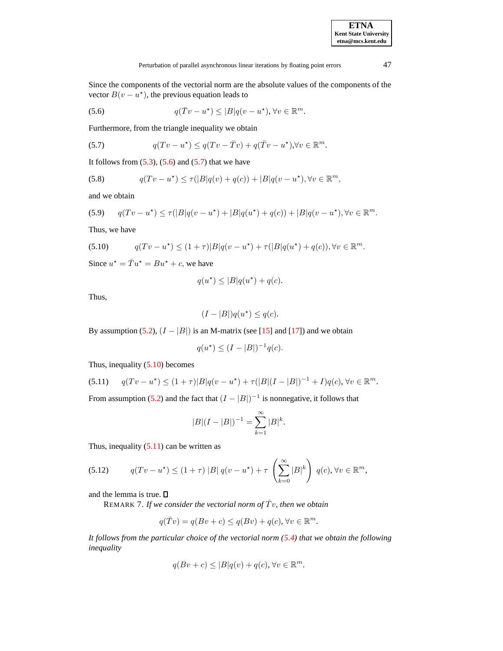<span id="page-9-0"></span>Since the components of the vectorial norm are the absolute values of the components of the vector  $B(v - u^*)$ , the previous equation leads to

<span id="page-9-1"></span>(5.6) 
$$
q(\overline{T}v - u^*) \le |B|q(v - u^*), \forall v \in \mathbb{R}^m.
$$

Furthermore, from the triangle inequality we obtain

(5.7) 
$$
q(Tv - u^*) \leq q(Tv - \overline{T}v) + q(\overline{T}v - u^*), \forall v \in \mathbb{R}^m.
$$

It follows from  $(5.3)$ ,  $(5.6)$  and  $(5.7)$  that we have

(5.8) 
$$
q(Tv - u^*) \le \tau(|B|q(v) + q(c)) + |B|q(v - u^*), \forall v \in \mathbb{R}^m,
$$

and we obtain

<span id="page-9-2"></span>
$$
(5.9) \qquad q(Tv - u^*) \le \tau(|B|q(v - u^*) + |B|q(u^*) + q(c)) + |B|q(v - u^*), \forall v \in \mathbb{R}^m.
$$

Thus, we have

(5.10) 
$$
q(Tv - u^*) \le (1 + \tau)|B|q(v - u^*) + \tau(|B|q(u^*) + q(c)), \forall v \in \mathbb{R}^m.
$$

Since  $u^* = \overline{T}u^* = Bu^* + c$ , we have

$$
q(u^*) \le |B|q(u^*) + q(c).
$$

Thus,

$$
(I - |B|)q(u^*) \le q(c).
$$

By assumption [\(5.2\)](#page-8-3),  $(I - |B|)$  is an M-matrix (see [\[15\]](#page-16-5) and [\[17\]](#page-16-16)) and we obtain

$$
q(u^*) \le (I - |B|)^{-1} q(c).
$$

<span id="page-9-3"></span>Thus, inequality [\(5.10\)](#page-9-2) becomes

$$
(5.11) \tq(Tv - u^*) \le (1+\tau)|B|q(v - u^*) + \tau(|B|(I - |B|)^{-1} + I)q(c), \forall v \in \mathbb{R}^m.
$$

From assumption [\(5.2\)](#page-8-3) and the fact that  $(I - |B|)^{-1}$  is nonnegative, it follows that

$$
|B|(I - |B|)^{-1} = \sum_{k=1}^{\infty} |B|^k.
$$

Thus, inequality  $(5.11)$  can be written as

$$
(5.12) \tq(Tv - u^*) \le (1 + \tau) |B| q(v - u^*) + \tau \left(\sum_{k=0}^{\infty} |B|^k\right) q(c), \forall v \in \mathbb{R}^m,
$$

and the lemma is true.

REMARK 7. If we consider the vectorial norm of  $\overline{T}v$ , then we obtain

$$
q(\overline{T}v) = q(Bv + c) \le q(Bv) + q(c), \forall v \in \mathbb{R}^m.
$$

*It follows from the particular choice of the vectorial norm [\(5.4\)](#page-8-4) that we obtain the following inequality*

$$
q(Bv+c) \le |B|q(v) + q(c), \forall v \in \mathbb{R}^m.
$$

**ETNA Kent State University etna@mcs.kent.edu**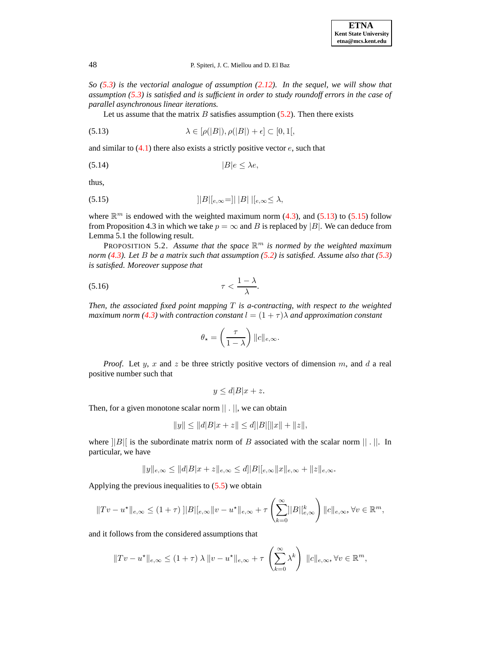*So [\(5.3\)](#page-8-2) is the vectorial analogue of assumption [\(2.12\)](#page-3-2). In the sequel, we will show that assumption [\(5.3\)](#page-8-2) is satisfied and is sufficient in order to study roundoff errors in the case of parallel asynchronous linear iterations.*

<span id="page-10-0"></span>Let us assume that the matrix  $B$  satisfies assumption  $(5.2)$ . Then there exists

(5.13) 
$$
\lambda \in [\rho(|B|), \rho(|B|) + \epsilon] \subset [0, 1],
$$

and similar to  $(4.1)$  there also exists a strictly positive vector  $e$ , such that

<span id="page-10-1"></span>
$$
(5.14) \t\t |B|e \leq \lambda e,
$$

thus,

(5.15) 
$$
||B||_{e,\infty} = ||B||_{e,\infty} \leq \lambda,
$$

where  $\mathbb{R}^m$  is endowed with the weighted maximum norm [\(4.3\)](#page-5-0), and [\(5.13\)](#page-10-0) to [\(5.15\)](#page-10-1) follow from Proposition 4.3 in which we take  $p = \infty$  and B is replaced by |B|. We can deduce from Lemma 5.1 the following result.

<span id="page-10-2"></span>PROPOSITION 5.2. *Assume that the space* R <sup>m</sup> *is normed by the weighted maximum norm [\(4.3\)](#page-5-0). Let* B *be a matrix such that assumption [\(5.2\)](#page-8-3) is satisfied. Assume also that [\(5.3\)](#page-8-2) is satisfied. Moreover suppose that*

$$
\tau < \frac{1-\lambda}{\lambda}.
$$

*Then, the associated fixed point mapping* T *is a-contracting, with respect to the weighted maximum norm* [\(4.3\)](#page-5-0) with contraction constant  $l = (1 + \tau)\lambda$  *and approximation constant* 

$$
\theta_{\star} = \left(\frac{\tau}{1-\lambda}\right) ||c||_{e,\infty}.
$$

*Proof.* Let y, x and z be three strictly positive vectors of dimension m, and d a real positive number such that

$$
y \le d|B|x+z.
$$

Then, for a given monotone scalar norm || . ||, we can obtain

$$
||y|| \le ||d|B|x+z|| \le d||B||||x||+||z||,
$$

where  $||B||$  is the subordinate matrix norm of B associated with the scalar norm  $|| \cdot ||$ . In particular, we have

$$
||y||_{e,\infty} \le ||d||B||x+z||_{e,\infty} \le d||B||_{e,\infty}||x||_{e,\infty} + ||z||_{e,\infty}.
$$

Applying the previous inequalities to  $(5.5)$  we obtain

$$
||Tv - u^*||_{e,\infty} \le (1+\tau) ||B||_{e,\infty} ||v - u^*||_{e,\infty} + \tau \left(\sum_{k=0}^{\infty} ||B||_{e,\infty}^k\right) ||c||_{e,\infty}, \forall v \in \mathbb{R}^m,
$$

and it follows from the considered assumptions that

$$
||Tv - u^*||_{e,\infty} \leq (1+\tau)\lambda ||v - u^*||_{e,\infty} + \tau \left(\sum_{k=0}^{\infty} \lambda^k\right) ||c||_{e,\infty}, \forall v \in \mathbb{R}^m,
$$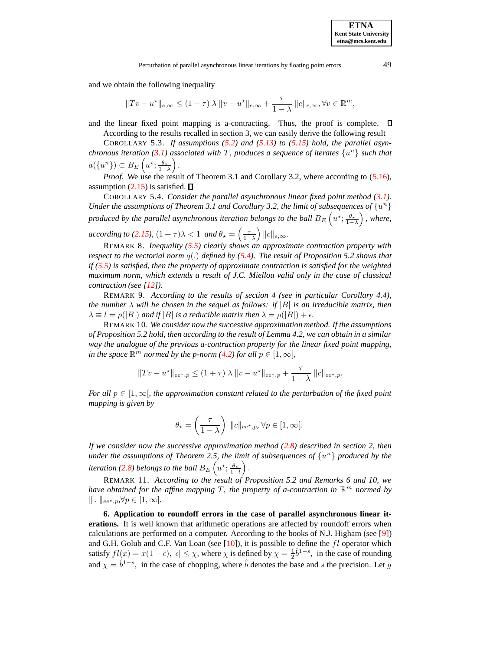Perturbation of parallel asynchronous linear iterations by floating point errors 49

and we obtain the following inequality

$$
||Tv - u^*||_{e,\infty} \le (1+\tau)\lambda ||v - u^*||_{e,\infty} + \frac{\tau}{1-\lambda} ||c||_{e,\infty}, \forall v \in \mathbb{R}^m,
$$

and the linear fixed point mapping is a-contracting. Thus, the proof is complete.  $\Box$ According to the results recalled in section 3, we can easily derive the following result

COROLLARY 5.3. *If assumptions [\(5.2\)](#page-8-3) and [\(5.13\)](#page-10-0) to [\(5.15\)](#page-10-1) hold, the parallel asynchronous iteration [\(3.1\)](#page-4-2) associated with* T*, produces a sequence of iterates* {u <sup>n</sup>} *such that*  $a(\lbrace u^n \rbrace) \subset B_E\left(u^\star; \frac{\theta_\star}{1-\lambda}\right).$ 

*Proof.* We use the result of Theorem 3.1 and Corollary 3.2, where according to [\(5.16\)](#page-10-2), assumption [\(2.15\)](#page-3-3) is satisfied.  $\square$ 

COROLLARY 5.4. *Consider the parallel asynchronous linear fixed point method [\(3.1\)](#page-4-2). Under the assumptions of Theorem 3.1 and Corollary 3.2, the limit of subsequences of*  $\{u^n\}$ *produced by the parallel asynchronous iteration belongs to the ball*  $B_E\left(u^{\star};\frac{\theta_*}{1-\lambda}\right)$ *, where, according to* [\(2.15\)](#page-3-3),  $(1 + \tau)\lambda < 1$  *and*  $\theta_{\star} = \left(\frac{\tau}{1 - \lambda}\right) ||c||_{e,\infty}$ .

REMARK 8. *Inequality [\(5.5\)](#page-8-5) clearly shows an approximate contraction property with respect to the vectorial norm*  $q(.)$  *defined by*  $(5.4)$ *. The result of Proposition* 5.2 *shows that if [\(5.5\)](#page-8-5) is satisfied, then the property of approximate contraction is satisfied for the weighted maximum norm, which extends a result of J.C. Miellou valid only in the case of classical contraction (see [\[12\]](#page-16-9)).*

REMARK 9. *According to the results of section 4 (see in particular Corollary 4.4), the number*  $\lambda$  *will be chosen in the sequel as follows: if*  $|B|$  *is an irreducible matrix, then*  $\lambda \equiv l = \rho(|B|)$  *and if*  $|B|$  *is a reducible matrix then*  $\lambda = \rho(|B|) + \epsilon$ .

REMARK 10. *We consider now the successive approximation method. If the assumptions of Proposition 5.2 hold, then according to the result of Lemma 4.2, we can obtain in a similar way the analogue of the previous a-contraction property for the linear fixed point mapping, in the space*  $\mathbb{R}^m$  *normed by the p-norm* [\(4.2\)](#page-5-1) *for all*  $p \in [1, \infty],$ 

$$
||Tv - u^*||_{ee^*,p} \le (1+\tau) \lambda ||v - u^*||_{ee^*,p} + \frac{\tau}{1-\lambda} ||c||_{ee^*,p}.
$$

*For all*  $p \in [1, \infty]$ *, the approximation constant related to the perturbation of the fixed point mapping is given by*

$$
\theta_{\star} = \left(\frac{\tau}{1-\lambda}\right) \, \|c\|_{ee^{\star},p}, \forall p \in [1,\infty[.
$$

*If we consider now the successive approximation method [\(2.8\)](#page-2-0) described in section 2, then under the assumptions of Theorem 2.5, the limit of subsequences of* {u <sup>n</sup>} *produced by the* iteration [\(2.8\)](#page-2-0) belongs to the ball  $B_E\left(u^\star;\frac{\theta_\star}{1-l}\right)$  .

REMARK 11. *According to the result of Proposition 5.2 and Remarks 6 and 10, we have obtained for the affine mapping* T*, the property of a-contraction in* R <sup>m</sup> *normed by*  $\Vert \cdot \Vert_{ee^{\star},p}$ , $\forall p \in [1,\infty]$ .

**6. Application to roundoff errors in the case of parallel asynchronous linear iterations.** It is well known that arithmetic operations are affected by roundoff errors when calculations are performed on a computer. According to the books of N.J. Higham (see [\[9\]](#page-16-1)) and G.H. Golub and C.F. Van Loan (see  $[10]$ ), it is possible to define the  $fl$  operator which satisfy  $fl(x) = x(1+\epsilon)$ ,  $|\epsilon| \leq \chi$ , where  $\chi$  is defined by  $\chi = \frac{1}{2}\hat{b}^{1-s}$ , in the case of rounding and  $\chi = \hat{b}^{1-s}$ , in the case of chopping, where  $\hat{b}$  denotes the base and s the precision. Let g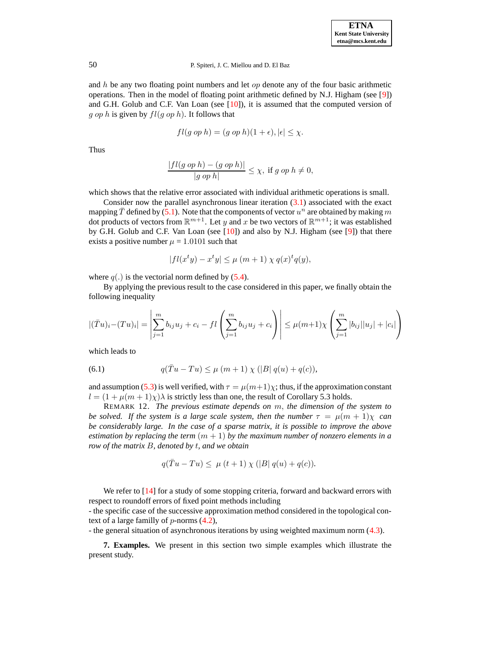and  $h$  be any two floating point numbers and let  $op$  denote any of the four basic arithmetic operations. Then in the model of floating point arithmetic defined by N.J. Higham (see [\[9\]](#page-16-1)) and G.H. Golub and C.F. Van Loan (see [\[10\]](#page-16-2)), it is assumed that the computed version of g op h is given by  $fl(g \, op \, h)$ . It follows that

$$
fl(g\ op\ h)=(g\ op\ h)(1+\epsilon),|\epsilon|\leq\chi.
$$

Thus

$$
\frac{|fl(g\ op\ h)-(g\ op\ h)|}{|g\ op\ h|}\leq \chi,\ \text{if}\ g\ op\ h\neq 0,
$$

which shows that the relative error associated with individual arithmetic operations is small.

Consider now the parallel asynchronous linear iteration  $(3.1)$  associated with the exact mapping  $\bar{T}$  defined by [\(5.1\)](#page-8-6). Note that the components of vector  $u^n$  are obtained by making m dot products of vectors from  $\mathbb{R}^{m+1}$ . Let y and x be two vectors of  $\mathbb{R}^{m+1}$ ; it was established by G.H. Golub and C.F. Van Loan (see  $[10]$ ) and also by N.J. Higham (see  $[9]$ ) that there exists a positive number  $\mu = 1.0101$  such that

$$
|fl(x^ty) - x^ty| \le \mu (m+1) \chi q(x)^t q(y),
$$

where  $q(.)$  is the vectorial norm defined by [\(5.4\)](#page-8-4).

By applying the previous result to the case considered in this paper, we finally obtain the following inequality

$$
|(\bar{T}u)_i - (Tu)_i| = \left| \sum_{j=1}^m b_{ij} u_j + c_i - fl \left( \sum_{j=1}^m b_{ij} u_j + c_i \right) \right| \le \mu(m+1) \chi \left( \sum_{j=1}^m |b_{ij}| |u_j| + |c_i| \right)
$$

<span id="page-12-0"></span>which leads to

(6.1) 
$$
q(\bar{T}u - Tu) \le \mu (m+1) \chi (|B| q(u) + q(c)),
$$

and assumption [\(5.3\)](#page-8-2) is well verified, with  $\tau = \mu(m+1)\chi$ ; thus, if the approximation constant  $l = (1 + \mu(m + 1)\chi)\lambda$  is strictly less than one, the result of Corollary 5.3 holds.

REMARK 12. *The previous estimate depends on* m, *the dimension of the system to be solved. If the system is a large scale system, then the number*  $\tau = \mu(m + 1)\chi$  *can be considerably large. In the case of a sparse matrix, it is possible to improve the above estimation* by replacing the term  $(m + 1)$  by the maximum number of nonzero elements in a *row of the matrix* B*, denoted by* t*, and we obtain*

$$
q(\overline{T}u - Tu) \leq \mu (t+1) \chi (|B| q(u) + q(c)).
$$

We refer to [\[14\]](#page-16-17) for a study of some stopping criteria, forward and backward errors with respect to roundoff errors of fixed point methods including

- the specific case of the successive approximation method considered in the topological context of a large familly of  $p$ -norms  $(4.2)$ ,

- the general situation of asynchronous iterations by using weighted maximum norm [\(4.3\)](#page-5-0).

**7. Examples.** We present in this section two simple examples which illustrate the present study.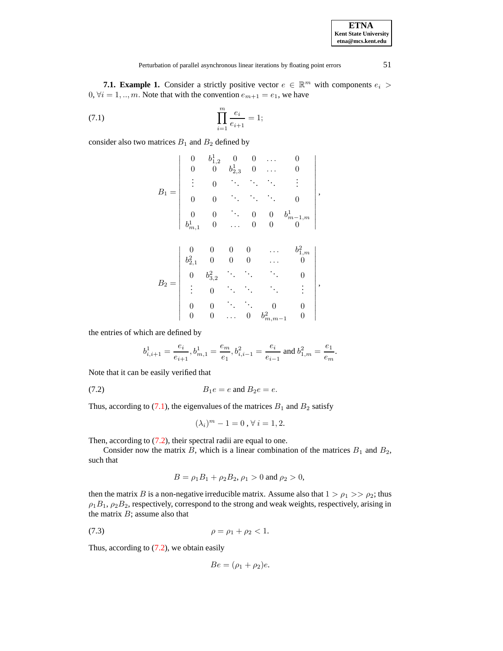**7.1. Example 1.** Consider a strictly positive vector  $e \in \mathbb{R}^m$  with components  $e_i$  $0, \forall i = 1, ..., m$ . Note that with the convention  $e_{m+1} = e_1$ , we have

(7.1) 
$$
\prod_{i=1}^{m} \frac{e_i}{e_{i+1}} = 1;
$$

consider also two matrices  $B_1$  and  $B_2$  defined by

<span id="page-13-0"></span>
$$
B_1 = \begin{vmatrix} 0 & b_{1,2}^1 & 0 & 0 & \dots & 0 \\ 0 & 0 & b_{2,3}^1 & 0 & \dots & 0 \\ \vdots & 0 & \ddots & \ddots & \ddots & \vdots \\ 0 & 0 & \ddots & \ddots & 0 & 0 \\ 0 & 0 & \ddots & 0 & 0 & b_{m-1,m}^1 \\ b_{m,1}^1 & 0 & \dots & 0 & 0 & 0 \end{vmatrix},
$$

$$
B_2 = \begin{vmatrix} 0 & 0 & 0 & 0 & \dots & b_{1,m}^2 \\ b_{2,1}^2 & 0 & 0 & 0 & \dots & 0 \\ 0 & b_{3,2}^2 & \ddots & \ddots & \ddots & 0 \\ \vdots & 0 & \ddots & \ddots & \ddots & \vdots \\ 0 & 0 & \dots & 0 & b_{m,m-1}^2 & 0 \end{vmatrix},
$$

the entries of which are defined by

<span id="page-13-1"></span>
$$
b^1_{i,i+1}=\frac{e_i}{e_{i+1}}, b^1_{m,1}=\frac{e_m}{e_1}, b^2_{i,i-1}=\frac{e_i}{e_{i-1}} \text{ and } b^2_{1,m}=\frac{e_1}{e_m}.
$$

Note that it can be easily verified that

$$
(7.2) \t\t B_1e = e \text{ and } B_2e = e.
$$

Thus, according to [\(7.1\)](#page-13-0), the eigenvalues of the matrices  $B_1$  and  $B_2$  satisfy

$$
(\lambda_i)^m - 1 = 0, \forall i = 1, 2.
$$

Then, according to  $(7.2)$ , their spectral radii are equal to one.

Consider now the matrix B, which is a linear combination of the matrices  $B_1$  and  $B_2$ , such that

$$
B = \rho_1 B_1 + \rho_2 B_2, \rho_1 > 0 \text{ and } \rho_2 > 0,
$$

then the matrix B is a non-negative irreducible matrix. Assume also that  $1 > \rho_1 >> \rho_2$ ; thus  $\rho_1B_1$ ,  $\rho_2B_2$ , respectively, correspond to the strong and weak weights, respectively, arising in the matrix  $B$ ; assume also that

(7.3) 
$$
\rho = \rho_1 + \rho_2 < 1.
$$

Thus, according to  $(7.2)$ , we obtain easily

$$
Be = (\rho_1 + \rho_2)e.
$$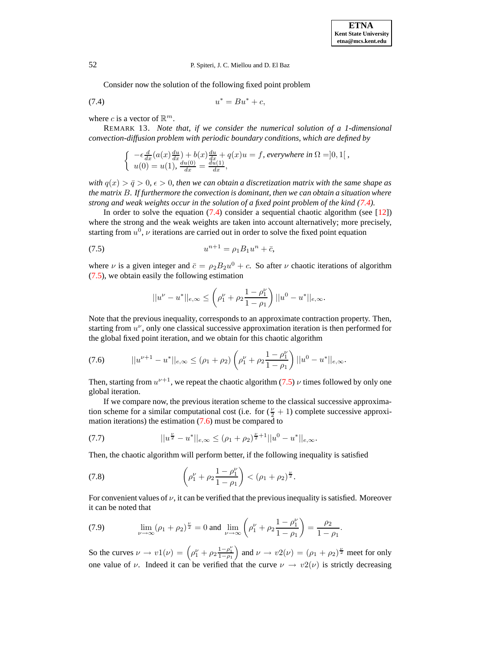<span id="page-14-0"></span>Consider now the solution of the following fixed point problem

$$
(7.4) \t\t u^* = Bu^* + c,
$$

where c is a vector of  $\mathbb{R}^m$ .

REMARK 13. *Note that, if we consider the numerical solution of a 1-dimensional convection-diffusion problem with periodic boundary conditions, which are defined by*

$$
\begin{cases}\n-\epsilon \frac{d}{dx}(a(x)\frac{du}{dx}) + b(x)\frac{du}{dx} + q(x)u = f, \text{ everywhere in } \Omega = ]0,1[, \\
u(0) = u(1), \frac{du(0)}{dx} = \frac{du(1)}{dx},\n\end{cases}
$$

*with*  $q(x) > \bar{q} > 0$ ,  $\epsilon > 0$ , *then we can obtain a discretization matrix with the same shape as the matrix* B*. If furthermore the convection is dominant, then we can obtain a situation where strong and weak weights occur in the solution of a fixed point problem of the kind [\(7.4\)](#page-14-0).*

In order to solve the equation  $(7.4)$  consider a sequential chaotic algorithm (see [\[12\]](#page-16-9)) where the strong and the weak weights are taken into account alternatively; more precisely, starting from  $u^0$ ,  $\nu$  iterations are carried out in order to solve the fixed point equation

(7.5) 
$$
u^{n+1} = \rho_1 B_1 u^n + \bar{c},
$$

where  $\nu$  is a given integer and  $\bar{c} = \rho_2 B_2 u^0 + c$ . So after  $\nu$  chaotic iterations of algorithm [\(7.5\)](#page-14-1), we obtain easily the following estimation

<span id="page-14-4"></span><span id="page-14-2"></span><span id="page-14-1"></span>
$$
||u^{\nu}-u^*||_{e,\infty}\leq \left(\rho_1^{\nu}+\rho_2\frac{1-\rho_1^{\nu}}{1-\rho_1}\right)||u^0-u^*||_{e,\infty}.
$$

Note that the previous inequality, corresponds to an approximate contraction property. Then, starting from  $u^{\nu}$ , only one classical successive approximation iteration is then performed for the global fixed point iteration, and we obtain for this chaotic algorithm

$$
(7.6) \t ||u^{\nu+1} - u^*||_{e,\infty} \le (\rho_1 + \rho_2) \left(\rho_1^{\nu} + \rho_2 \frac{1 - \rho_1^{\nu}}{1 - \rho_1}\right) ||u^0 - u^*||_{e,\infty}.
$$

Then, starting from  $u^{\nu+1}$ , we repeat the chaotic algorithm [\(7.5\)](#page-14-1)  $\nu$  times followed by only one global iteration.

If we compare now, the previous iteration scheme to the classical successive approximation scheme for a similar computational cost (i.e. for  $(\frac{v}{2} + 1)$  complete successive approximation iterations) the estimation  $(7.6)$  must be compared to

(7.7) 
$$
||u^{\frac{\nu}{2}} - u^*||_{e,\infty} \le (\rho_1 + \rho_2)^{\frac{\nu}{2} + 1}||u^0 - u^*||_{e,\infty}.
$$

Then, the chaotic algorithm will perform better, if the following inequality is satisfied

(7.8) 
$$
\left(\rho_1^{\nu} + \rho_2 \frac{1-\rho_1^{\nu}}{1-\rho_1}\right) < (\rho_1 + \rho_2)^{\frac{\nu}{2}}.
$$

<span id="page-14-3"></span>For convenient values of  $\nu$ , it can be verified that the previous inequality is satisfied. Moreover it can be noted that

(7.9) 
$$
\lim_{\nu \to \infty} (\rho_1 + \rho_2)^{\frac{\nu}{2}} = 0 \text{ and } \lim_{\nu \to \infty} \left( \rho_1^{\nu} + \rho_2 \frac{1 - \rho_1^{\nu}}{1 - \rho_1} \right) = \frac{\rho_2}{1 - \rho_1}.
$$

So the curves  $\nu \to v1(\nu) = \left(\rho_1^{\nu} + \rho_2 \frac{1-\rho_1^{\nu}}{1-\rho_1}\right)$  and  $\nu \to v2(\nu) = (\rho_1 + \rho_2)^{\frac{\nu}{2}}$  meet for only one value of  $\nu$ . Indeed it can be verified that the curve  $\nu \rightarrow v2(\nu)$  is strictly decreasing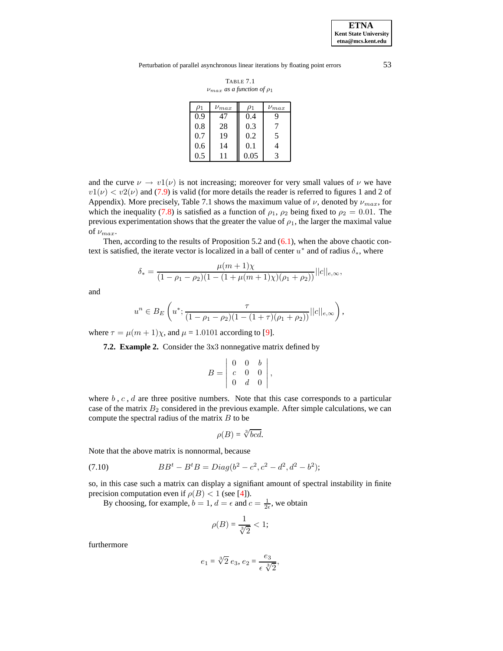Perturbation of parallel asynchronous linear iterations by floating point errors 53

TABLE 7.1  $\nu_{max}$  *as a function of*  $\rho_1$ 

| $\rho_1$ | $\nu_{max}$ | ρ1   | $\nu_{max}$ |
|----------|-------------|------|-------------|
| 0.9      | 47          | 0.4  | q           |
| 0.8      | 28          | 0.3  |             |
| 0.7      | 19          | 0.2  | 5           |
| 0.6      | 14          | 0.1  |             |
| 0.5      |             | 0.05 | 3           |

and the curve  $\nu \rightarrow v_1(\nu)$  is not increasing; moreover for very small values of  $\nu$  we have  $v1(\nu) < v2(\nu)$  and [\(7.9\)](#page-14-3) is valid (for more details the reader is referred to figures 1 and 2 of Appendix). More precisely, Table 7.1 shows the maximum value of  $\nu$ , denoted by  $\nu_{max}$ , for which the inequality [\(7.8\)](#page-14-4) is satisfied as a function of  $\rho_1$ ,  $\rho_2$  being fixed to  $\rho_2 = 0.01$ . The previous experimentation shows that the greater the value of  $\rho_1$ , the larger the maximal value of  $\nu_{max}$ .

Then, according to the results of Proposition 5.2 and  $(6.1)$ , when the above chaotic context is satisfied, the iterate vector is localized in a ball of center  $u^*$  and of radius  $\delta_*$ , where

$$
\delta_* = \frac{\mu(m+1)\chi}{(1-\rho_1-\rho_2)(1-(1+\mu(m+1)\chi)(\rho_1+\rho_2))}||c||_{e,\infty},
$$

and

$$
u^{n} \in B_{E}\left(u^{*}; \frac{\tau}{(1-\rho_{1}-\rho_{2})(1-(1+\tau)(\rho_{1}+\rho_{2}))}||c||_{e,\infty}\right),\,
$$

where  $\tau = \mu(m + 1)\chi$ , and  $\mu = 1.0101$  according to [\[9\]](#page-16-1).

**7.2. Example 2.** Consider the 3x3 nonnegative matrix defined by

$$
B = \begin{vmatrix} 0 & 0 & b \\ c & 0 & 0 \\ 0 & d & 0 \end{vmatrix},
$$

where  $b, c, d$  are three positive numbers. Note that this case corresponds to a particular case of the matrix  $B_2$  considered in the previous example. After simple calculations, we can compute the spectral radius of the matrix  $B$  to be

<span id="page-15-0"></span>
$$
\rho(B) = \sqrt[3]{bcd}.
$$

Note that the above matrix is nonnormal, because

(7.10) 
$$
BBt - BtB = Diag(b2 - c2, c2 - d2, d2 - b2);
$$

so, in this case such a matrix can display a signifiant amount of spectral instability in finite precision computation even if  $\rho(B) < 1$  (see [\[4\]](#page-16-12)).

By choosing, for example,  $b = 1$ ,  $d = \epsilon$  and  $c = \frac{1}{2\epsilon}$ , we obtain

$$
\rho(B) = \frac{1}{\sqrt[3]{2}} < 1;
$$

furthermore

$$
e_1 = \sqrt[3]{2} e_3, e_2 = \frac{e_3}{\epsilon \sqrt[3]{2}},
$$

**ETNA Kent State University etna@mcs.kent.edu**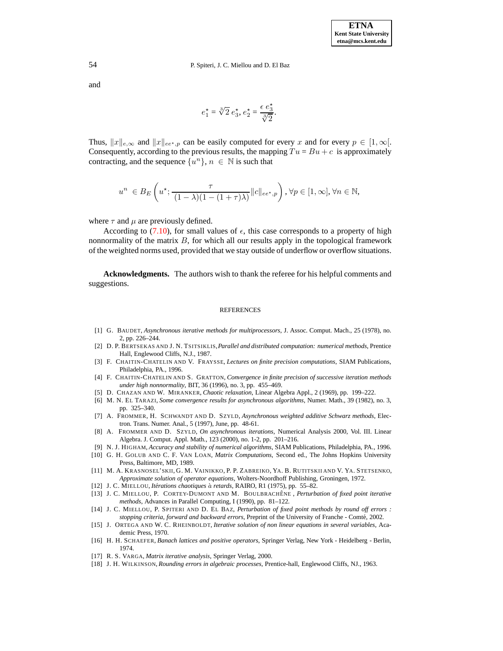and

$$
e_1^* = \sqrt[3]{2} e_3^*, e_2^* = \frac{\epsilon e_3^*}{\sqrt[3]{2}}.
$$

Thus,  $||x||_{e,\infty}$  and  $||x||_{ee^*,p}$  can be easily computed for every x and for every  $p \in [1,\infty]$ . Consequently, according to the previous results, the mapping  $Tu = Bu + c$  is approximately contracting, and the sequence  $\{u^n\}$ ,  $n \in \mathbb{N}$  is such that

$$
u^{n} \in B_{E}\left(u^{\star}; \frac{\tau}{(1-\lambda)(1-(1+\tau)\lambda)}||c||_{ee^{\star},p}\right), \forall p \in [1, \infty], \forall n \in \mathbb{N},
$$

where  $\tau$  and  $\mu$  are previously defined.

According to [\(7.10\)](#page-15-0), for small values of  $\epsilon$ , this case corresponds to a property of high nonnormality of the matrix  $B$ , for which all our results apply in the topological framework of the weighted norms used, provided that we stay outside of underflow or overflow situations.

**Acknowledgments.** The authors wish to thank the referee for his helpful comments and suggestions.

#### **REFERENCES**

- <span id="page-16-13"></span><span id="page-16-7"></span>[1] G. BAUDET, *Asynchronous iterative methods for multiprocessors*, J. Assoc. Comput. Mach., 25 (1978), no. 2, pp. 226–244.
- [2] D. P. BERTSEKAS AND J. N. TSITSIKLIS,*Parallel and distributed computation: numerical methods*, Prentice Hall, Englewood Cliffs, N.J., 1987.
- <span id="page-16-12"></span><span id="page-16-0"></span>[3] F. CHAITIN-CHATELIN AND V. FRAYSSE, *Lectures on finite precision computations*, SIAM Publications, Philadelphia, PA., 1996.
- [4] F. CHAITIN-CHATELIN AND S. GRATTON, *Convergence in finite precision of successive iteration methods under high nonnormality*, BIT, 36 (1996), no. 3, pp. 455–469.
- <span id="page-16-8"></span>[5] D. CHAZAN AND W. MIRANKER, *Chaotic relaxation*, Linear Algebra Appl., 2 (1969), pp. 199–222.
- <span id="page-16-15"></span><span id="page-16-11"></span>[6] M. N. EL TARAZI, *Some convergence results for asynchronous algorithms*, Numer. Math., 39 (1982), no. 3, pp. 325–340.
- [7] A. FROMMER, H. SCHWANDT AND D. SZYLD, *Asynchronous weighted additive Schwarz methods*, Electron. Trans. Numer. Anal., 5 (1997), June, pp. 48-61.
- <span id="page-16-14"></span>[8] A. FROMMER AND D. SZYLD, *On asynchronous iterations*, Numerical Analysis 2000, Vol. III. Linear Algebra. J. Comput. Appl. Math., 123 (2000), no. 1-2, pp. 201–216.
- [9] N. J. HIGHAM, *Accuracy and stability of numerical algorithms*, SIAM Publications, Philadelphia, PA., 1996.
- <span id="page-16-2"></span><span id="page-16-1"></span>[10] G. H. GOLUB AND C. F. VAN LOAN, *Matrix Computations*, Second ed., The Johns Hopkins University Press, Baltimore, MD, 1989.
- <span id="page-16-4"></span>[11] M. A. KRASNOSEL'SKII, G. M. VAINIKKO, P. P. ZABREIKO, YA. B. RUTITSKII AND V. YA. STETSENKO, *Approximate solution of operator equations*, Wolters-Noordhoff Publishing, Groningen, 1972.
- <span id="page-16-9"></span><span id="page-16-6"></span>[12] J. C. MIELLOU, *Iter´ ations chaotiques* a` *retards*, RAIRO, R1 (1975), pp. 55–82.
- [13] J. C. MIELLOU, P. CORTEY-DUMONT AND M. BOULBRACHEˆ NE , *Perturbation of fixed point iterative methods*, Advances in Parallel Computing, I (1990), pp. 81–122.
- <span id="page-16-17"></span>[14] J. C. MIELLOU, P. SPITERI AND D. EL BAZ, *Perturbation of fixed point methods by round off errors : stopping criteria, forward and backward errors*, Preprint of the University of Franche - Comte,´ 2002.
- <span id="page-16-5"></span>[15] J. ORTEGA AND W. C. RHEINBOLDT, *Iterative solution of non linear equations in several variables*, Academic Press, 1970.
- <span id="page-16-10"></span>[16] H. H. SCHAEFER, *Banach lattices and positive operators*, Springer Verlag, New York - Heidelberg - Berlin, 1974.
- <span id="page-16-16"></span><span id="page-16-3"></span>[17] R. S. VARGA, *Matrix iterative analysis*, Springer Verlag, 2000.
- [18] J. H. WILKINSON, *Rounding errors in algebraic processes*, Prentice-hall, Englewood Cliffs, NJ., 1963.